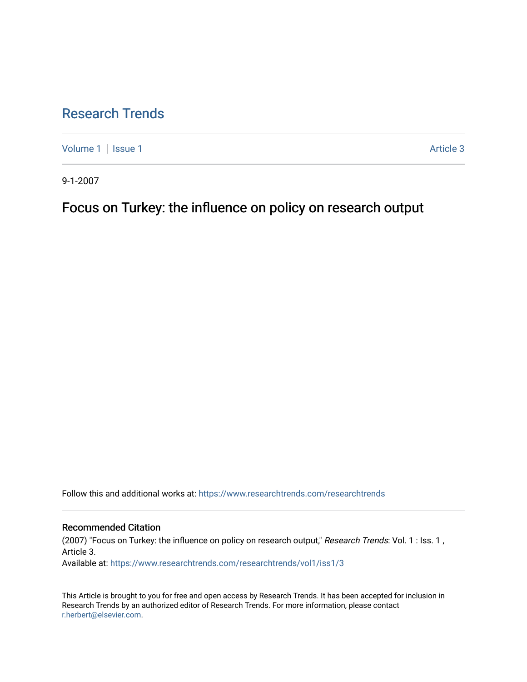# [Research Trends](https://www.researchtrends.com/researchtrends)

[Volume 1](https://www.researchtrends.com/researchtrends/vol1) | [Issue 1](https://www.researchtrends.com/researchtrends/vol1/iss1) Article 3

9-1-2007

Focus on Turkey: the influence on policy on research output

Follow this and additional works at: [https://www.researchtrends.com/researchtrends](https://www.researchtrends.com/researchtrends?utm_source=www.researchtrends.com%2Fresearchtrends%2Fvol1%2Fiss1%2F3&utm_medium=PDF&utm_campaign=PDFCoverPages) 

### Recommended Citation

(2007) "Focus on Turkey: the influence on policy on research output," Research Trends: Vol. 1 : Iss. 1 , Article 3.

Available at: [https://www.researchtrends.com/researchtrends/vol1/iss1/3](https://www.researchtrends.com/researchtrends/vol1/iss1/3?utm_source=www.researchtrends.com%2Fresearchtrends%2Fvol1%2Fiss1%2F3&utm_medium=PDF&utm_campaign=PDFCoverPages) 

This Article is brought to you for free and open access by Research Trends. It has been accepted for inclusion in Research Trends by an authorized editor of Research Trends. For more information, please contact [r.herbert@elsevier.com.](mailto:r.herbert@elsevier.com)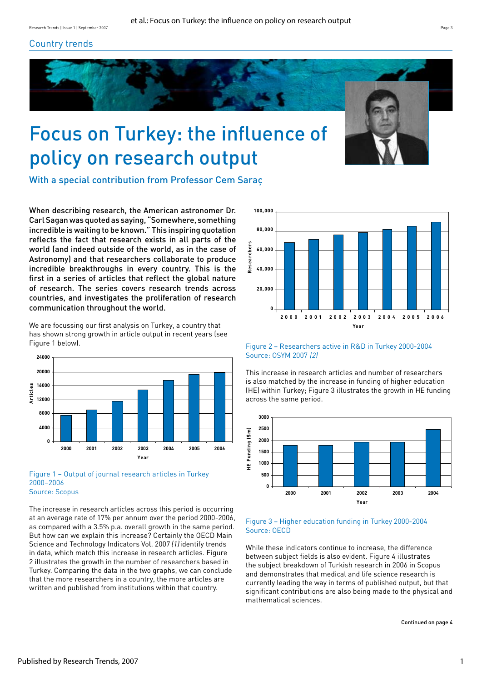## Country trends



# Focus on Turkey: the influence of policy on research output



With a special contribution from Professor Cem Saraç

When describing research, the American astronomer Dr. Carl Sagan was quoted as saying, "Somewhere, something incredible is waiting to be known." This inspiring quotation reflects the fact that research exists in all parts of the world (and indeed outside of the world, as in the case of Astronomy) and that researchers collaborate to produce incredible breakthroughs in every country. This is the first in a series of articles that reflect the global nature of research. The series covers research trends across countries, and investigates the proliferation of research communication throughout the world.

We are focussing our first analysis on Turkey, a country that has shown strong growth in article output in recent years (see Figure 1 below).



#### Figure 1 – Output of journal research articles in Turkey 2000–2006 Source: Scopus

The increase in research articles across this period is occurring at an average rate of 17% per annum over the period 2000-2006, as compared with a 3.5% p.a. overall growth in the same period. But how can we explain this increase? Certainly the OECD Main Science and Technology Indicators Vol. 2007 (1)identify trends in data, which match this increase in research articles. Figure 2 illustrates the growth in the number of researchers based in Turkey. Comparing the data in the two graphs, we can conclude that the more researchers in a country, the more articles are written and published from institutions within that country.



Figure 2 – Researchers active in R&D in Turkey 2000-2004 Source: OSYM 2007 (2)

This increase in research articles and number of researchers is also matched by the increase in funding of higher education (HE) within Turkey; Figure 3 illustrates the growth in HE funding across the same period.



#### Figure 3 – Higher education funding in Turkey 2000-2004 Source: OECD

While these indicators continue to increase, the difference between subject fields is also evident. Figure 4 illustrates the subject breakdown of Turkish research in 2006 in Scopus and demonstrates that medical and life science research is currently leading the way in terms of published output, but that significant contributions are also being made to the physical and mathematical sciences.